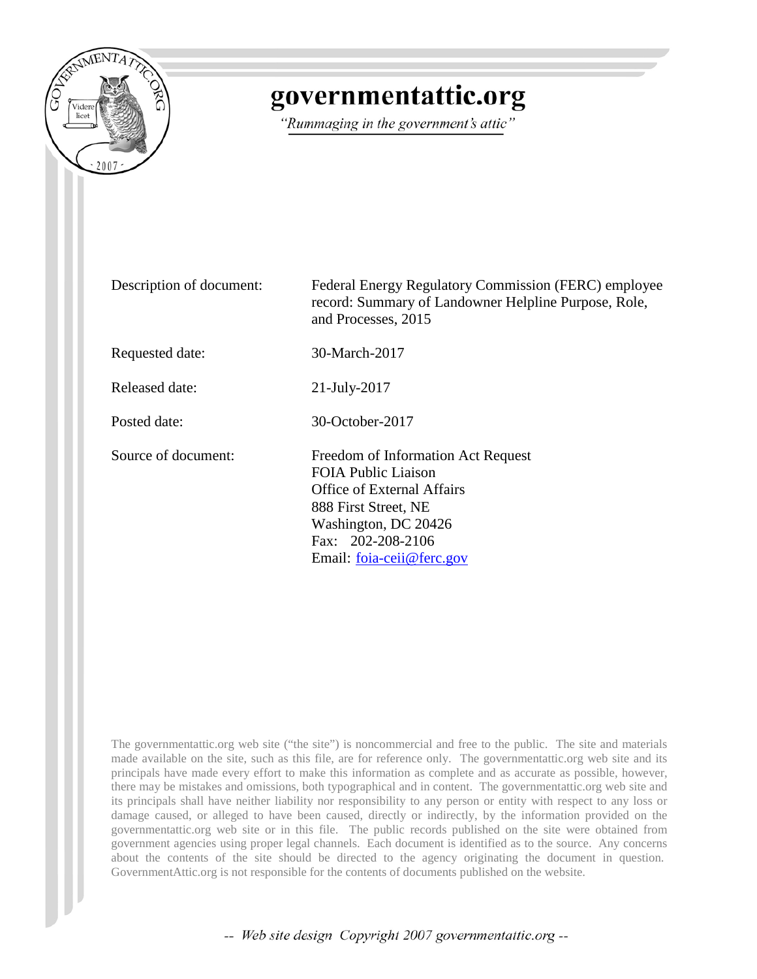

# governmentattic.org

"Rummaging in the government's attic"

Description of document: Federal Energy Regulatory Commission (FERC) employee record: Summary of Landowner Helpline Purpose, Role, and Processes, 2015 Requested date: 30-March-2017 Released date: 21-July-2017 Posted date: 30-October-2017 Source of document: Freedom of Information Act Request FOIA Public Liaison Office of External Affairs 888 First Street, NE Washington, DC 20426 Fax: 202-208-2106 Email: [foia-ceii@ferc.gov](mailto:foia-ceii@ferc.gov?subject=FOIA%20Request)

The governmentattic.org web site ("the site") is noncommercial and free to the public. The site and materials made available on the site, such as this file, are for reference only. The governmentattic.org web site and its principals have made every effort to make this information as complete and as accurate as possible, however, there may be mistakes and omissions, both typographical and in content. The governmentattic.org web site and its principals shall have neither liability nor responsibility to any person or entity with respect to any loss or damage caused, or alleged to have been caused, directly or indirectly, by the information provided on the governmentattic.org web site or in this file. The public records published on the site were obtained from government agencies using proper legal channels. Each document is identified as to the source. Any concerns about the contents of the site should be directed to the agency originating the document in question. GovernmentAttic.org is not responsible for the contents of documents published on the website.

-- Web site design Copyright 2007 governmentattic.org --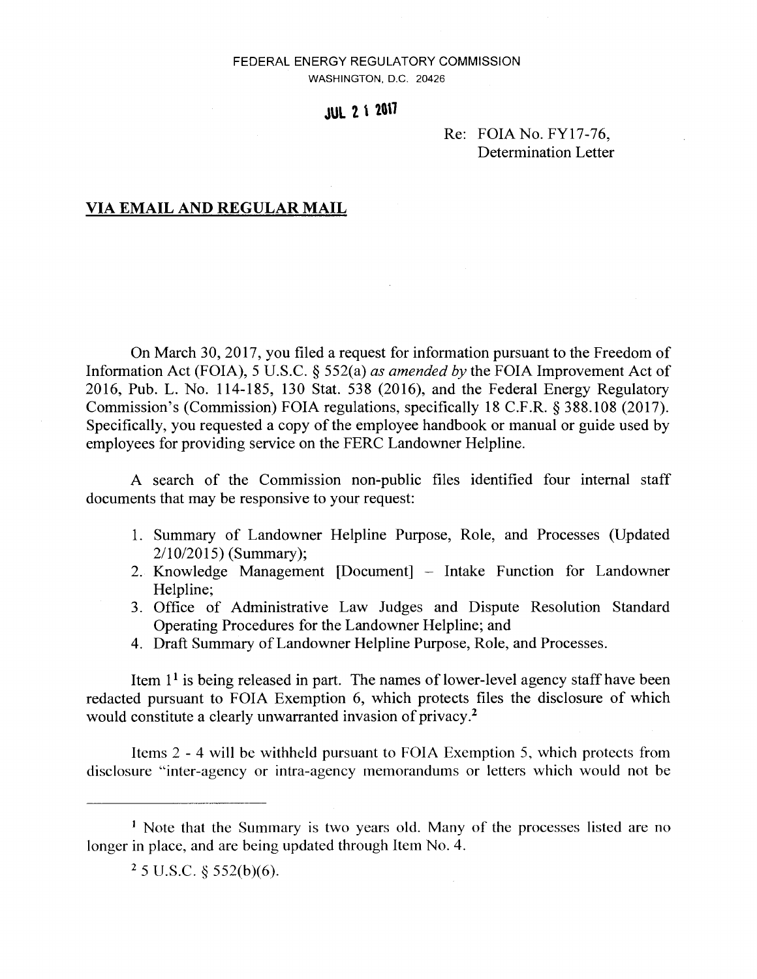### FEDERAL ENERGY REGULATORY COMMISSION WASHINGTON, D.C. 20426

# **JUL 2 1 2017**

### Re: FOIANo.FY17-76, Determination Letter

### **VIA EMAIL AND REGULAR MAIL**

On March 30, 2017, you filed a request for information pursuant to the Freedom of Information Act (FOIA), 5 U.S.C. § 552(a) *as amended by* the FOIA Improvement Act of 2016, Pub. L. No. 114-185, 130 Stat. 538 (2016), and the Federal Energy Regulatory Commission's (Commission) FOIA regulations, specifically 18 C.F.R. § 388.108 (2017). Specifically, you requested a copy of the employee handbook or manual or guide used by employees for providing service on the FERC Landowner Helpline.

A search of the Commission non-public files identified four internal staff documents that may be responsive to your request:

- 1. Summary of Landowner Helpline Purpose, Role, and Processes (Updated 2/10/2015) (Summary);
- 2. Knowledge Management [Document] Intake Function for Landowner Helpline;
- 3. Office of Administrative Law Judges and Dispute Resolution Standard Operating Procedures for the Landowner Helpline; and
- 4. Draft Summary of Landowner Helpline Purpose, Role, and Processes.

Item  $1<sup>1</sup>$  is being released in part. The names of lower-level agency staff have been redacted pursuant to FOIA Exemption 6, which protects files the disclosure of which would constitute a clearly unwarranted invasion of privacy.<sup>2</sup>

Items 2 - 4 will be withheld pursuant to FOIA Exemption 5, which protects from disclosure "inter-agency or intra-agency memorandums or letters which would not be

<sup>&</sup>lt;sup>1</sup> Note that the Summary is two years old. Many of the processes listed are no longer in place, and are being updated through Item No. 4.

 $25$  U.S.C.  $\S$  552(b)(6).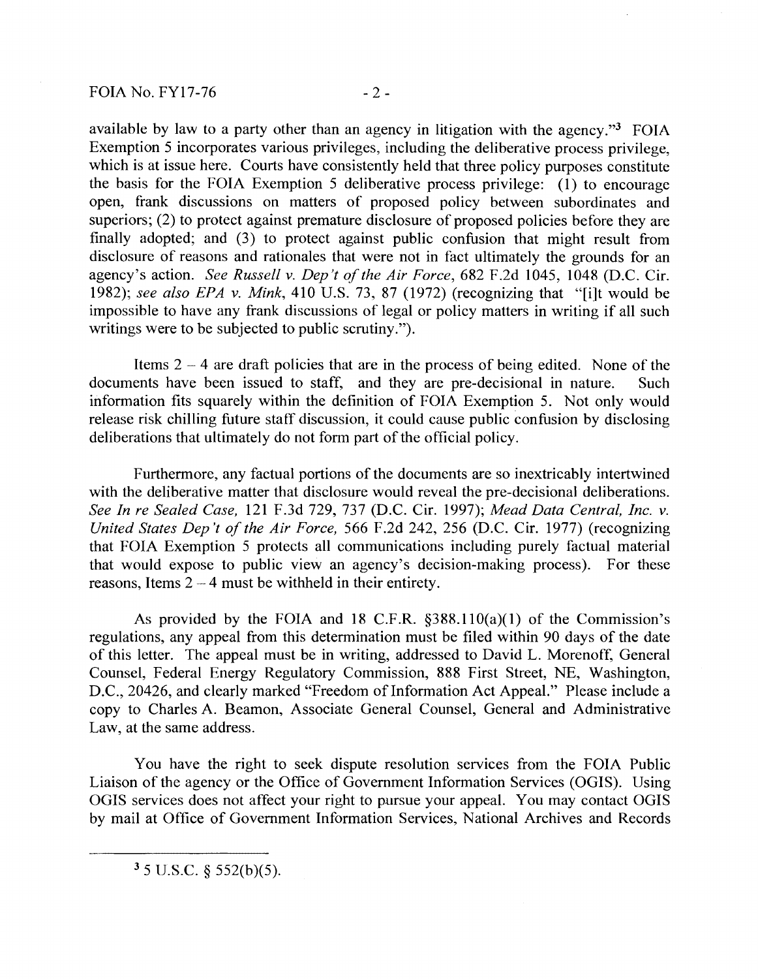available by law to a party other than an agency in litigation with the agency."3 FOIA Exemption 5 incorporates various privileges, including the deliberative process privilege, which is at issue here. Courts have consistently held that three policy purposes constitute the basis for the FOIA Exemption 5 deliberative process privilege: (1) to encourage open, frank discussions on matters of proposed policy between subordinates and superiors; (2) to protect against premature disclosure of proposed policies before they are finally adopted; and (3) to protect against public confusion that might result from disclosure of reasons and rationales that were not in fact ultimately the grounds for an agency's action. *See Russell v. Dep't of the Air Force,* 682 F.2d 1045, 1048 (D.C. Cir. 1982); *see also EPA v. Mink,* 410 U.S. 73, 87 (1972) (recognizing that "[i]t would be impossible to have any frank discussions of legal or policy matters in writing if all such writings were to be subjected to public scrutiny.").

Items  $2 - 4$  are draft policies that are in the process of being edited. None of the documents have been issued to staff, and they are pre-decisional in nature. Such information fits squarely within the definition of FOIA Exemption 5. Not only would release risk chilling future staff discussion, it could cause public confusion by disclosing deliberations that ultimately do not form part of the official policy.

Furthermore, any factual portions of the documents are so inextricably intertwined with the deliberative matter that disclosure would reveal the pre-decisional deliberations. *See In re Sealed Case,* 121 F.3d 729, 737 (D.C. Cir. 1997); *Mead Data Central, Inc. v. United States Dep 't of the Air Force,* 566 F.2d 242, 256 (D.C. Cir. 1977) (recognizing that FOIA Exemption 5 protects all communications including purely factual material that would expose to public view an agency's decision-making process). For these reasons, Items  $2 - 4$  must be withheld in their entirety.

As provided by the FOIA and 18 C.F.R.  $\S 388.110(a)(1)$  of the Commission's regulations, any appeal from this determination must be filed within 90 days of the date of this letter. The appeal must be in writing, addressed to David L. Morenoff, General Counsel, Federal Energy Regulatory Commission, 888 First Street, NE, Washington, D.C., 20426, and clearly marked "Freedom of Information Act Appeal." Please include a copy to Charles A. Beamon, Associate General Counsel, General and Administrative Law, at the same address.

You have the right to seek dispute resolution services from the FOIA Public Liaison of the agency or the Office of Government Information Services (OGIS). Using OGIS services does not affect your right to pursue your appeal. You may contact OGIS by mail at Office of Government Information Services, National Archives and Records

 $3$  5 U.S.C. § 552(b)(5).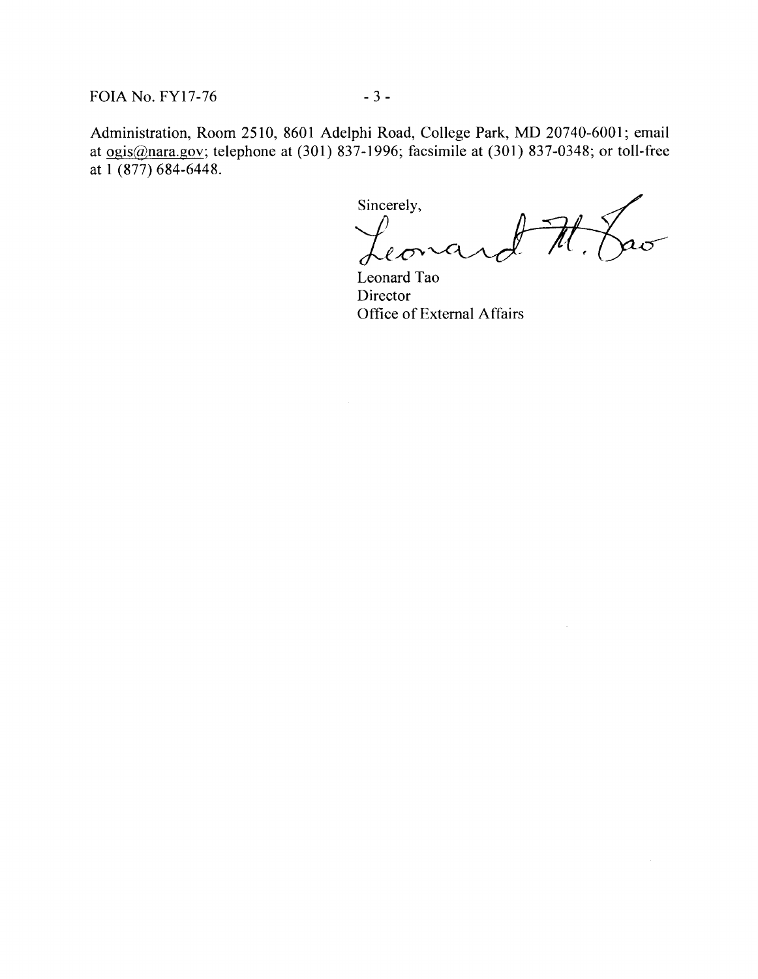FOIA No. FY17-76 - 3 -

Administration, Room 2510, 8601 Adelphi Road, College Park, MD 20740-6001; email at ogis@nara.gov; telephone at (301) 837-1996; facsimile at (301) 837-0348; or toll-free at 1 (877) 684-6448.

Sincerely,  $a\sigma$  $\ell$ *-C*  $^{\circ}$ 

Leonard Tao Director Office of External Affairs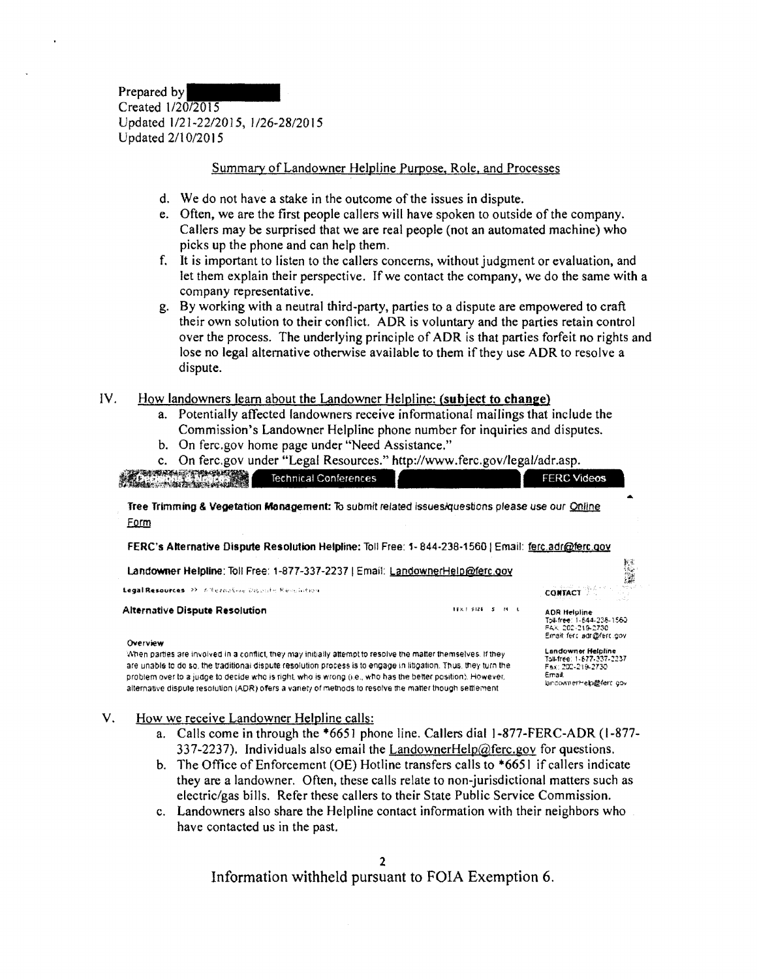Prepared by Created 1/20/2015 Updated 1/21-22/2015, l/26-28/2015 Updated 2/10/2015

### Summary of Landowner Helpline Purpose, Role. and Processes

- d. We do not have a stake in the outcome of the issues in dispute.
- e. Often, we are the first people callers will have spoken to outside of the company. Callers may be surprised that we are real people (not an automated machine) who picks up the phone and can help them.
- f. It is important to listen to the callers concerns, without judgment or evaluation, and let them explain their perspective. If we contact the company, we do the same with a company representative.
- g. By working with a neutral third-party, parties to a dispute are empowered to craft their own solution to their conflict. ADR is voluntary and the parties retain control over the process. The underlying principle of ADR is that parties forfeit no rights and lose no legal alternative otherwise available to them if they use ADR to resolve a dispute.

#### IV. How landowners learn about the Landowner Helpline: **(subject to change)**

- a. Potentially affected landowners receive informational mailings that include the Commission's Landowner Helpline phone number for inquiries and disputes.
- b. On ferc.gov home page under "Need Assistance."

|  |  |  | c. On ferc.gov under "Legal Resources." http://www.ferc.gov/legal/adr.asp. |
|--|--|--|----------------------------------------------------------------------------|
|  |  |  |                                                                            |

ESPACIFICATION Technical Conferences FERC Videos **Tree Trimming & Vegetation Management:** To submit related issues/questions please use our Qnline Form

FERC's Alternative Dispute Resolution Helpline: Toll Free: 1-844-238-1560 | Email: ferc.adr@ferc.gov

| Landowner Helpline: Toll Free: 1-877-337-2237   Email: LandownerHelp@ferc.gov                                                                                                                                                                                                                                                                                                                                                                               |                  | 一部                                                                                                       |
|-------------------------------------------------------------------------------------------------------------------------------------------------------------------------------------------------------------------------------------------------------------------------------------------------------------------------------------------------------------------------------------------------------------------------------------------------------------|------------------|----------------------------------------------------------------------------------------------------------|
| Legal Resources 22 Allermative Disante Resolution                                                                                                                                                                                                                                                                                                                                                                                                           |                  | <b>CONTACT AND RESIDENCE</b><br>د کتاب                                                                   |
| <b>Alternative Dispute Resolution</b><br>Overview                                                                                                                                                                                                                                                                                                                                                                                                           | TEXT \$126 S M L | <b>ADR Helpline</b><br>Toll-free: 1-844-238-1560<br>FAX: 202-219-2730<br>Email: ferc. adr@ferc.cov       |
| When parties are involved in a conflict, they may initially attempt to resolve the matter themselves. If they<br>are unable to do so, the traditional dispute resolution process is to engage in litigation. Thus, they turn the<br>problem over to a judge to decide who is right, who is wrong (i.e., who has the better position). However,<br>alternative dispute resolution (ADR) offers a variety of methods to resolve the matter though settlement. |                  | Landowner Helpline<br>Toll-free: 1-877-337-2237<br>Fax: 200-219-2730<br>Email:<br>landownerHelp@ferc.cov |

- V. How we receive Landowner Helpline calls:
	- a. Calls come in through the \*665 l phone line. Callers dial I ·877-FERC-ADR (I -877- 337-2237). Individuals also email the  $L$ andownerHelp@ferc.gov for questions.
	- b. The Office of Enforcement (OE) Hotline transfers calls to \*6651 if callers indicate they are a landowner. Often, these calls relate to non-jurisdictional matters such as electric/gas bills. Refer these callers to their State Public Service Commission.
	- c. Landowners also share the Helpline contact information with their neighbors who have contacted us in the past.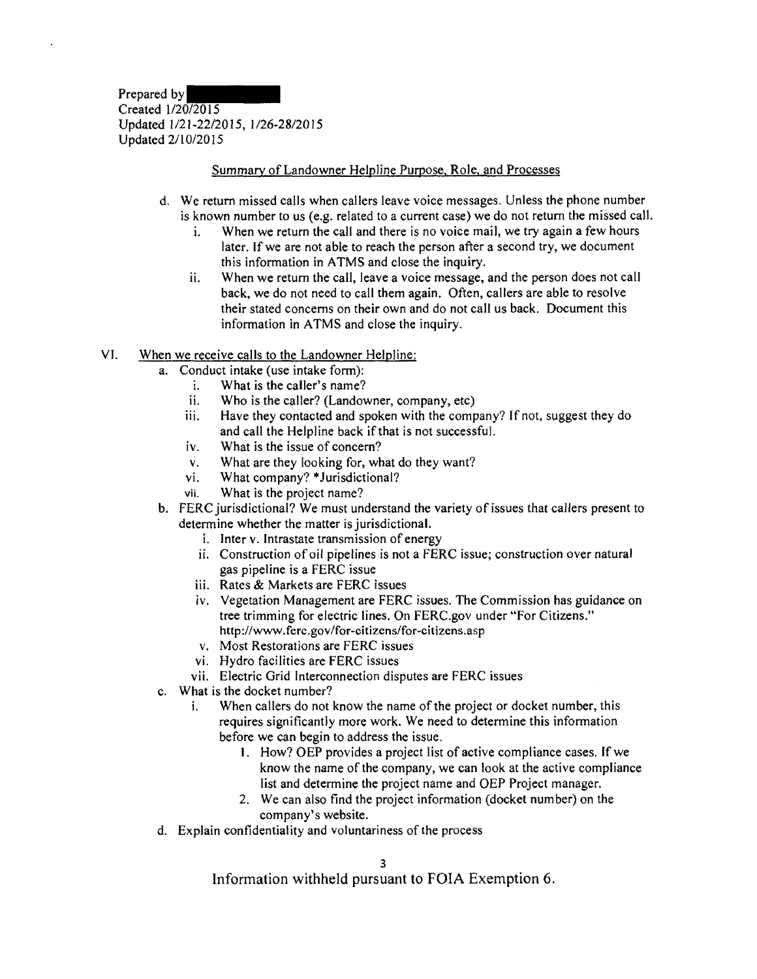Prepared by Created 1/20/2015 Updated 1/21-22/2015, l/26-28/2015 Updated 2/10/2015

### Summary of Landowner Helpline Purpose, Role, and Processes

- d. We return missed calls when callers leave voice messages. Unless the phone number is known number to us (e.g. related to a current case) we do not return the missed call.
	- i. When we return the call and there is no voice mail, we try again a few hours later. If we are not able to reach the person after a second try, we document this information in ATMS and close the inquiry.
	- ii. When we return the call, leave a voice message, and the person does not call back, we do not need to call them again. Often, callers are able to resolve their stated concerns on their own and do not call us back. Document this information in ATMS and close the inquiry.

#### YI. When we receive calls to the Landowner Helpline:

- a. Conduct intake (use intake form):
	- 1. What is the caller's name?
	- ii. Who is the caller? (Landowner, company, etc)
	- iii. Have they contacted and spoken with the company? If not, suggest they do and call the Helpline back if that is not successful.
	- iv. What is the issue of concern?
	- v. What are they looking for, what do they want?
	- vi. What company? \* Jurisdictional?
	- vii. What is the project name?
- b. FERC jurisdictional? We must understand the variety of issues that callers present to determine whether the matter is jurisdictional.
	- i. Inter v. Intrastate transmission of energy
	- ii. Construction of oil pipelines is not a FERC issue; construction over natural gas pipeline is a FERC issue
	- iii. Rates & Markets are FERC issues
	- iv. Vegetation Management are FERC issues. The Commission has guidance on tree trimming for electric lines. On FERC.gov under "For Citizens." http://www.fcrc.gov/for-citizens/for-citizens.asp
	- v. Most Restorations are FERC issues
	- vi. Hydro facilities are FERC issues
	- vii. Electric Grid Interconnection disputes are FERC issues
- c. What is the docket number?
	- i. When callers do not know the name of the project or docket number, this requires significantly more work. We need to determine this information before we can begin to address the issue.
		- I. How? OEP provides a project list of active compliance cases. lfwe know the name of the company, we can look at the active compliance list and determine the project name and OEP Project manager.
		- 2. We can also find the project information (docket number) on the company's website.
- d. Explain confidentiality and voluntariness of the process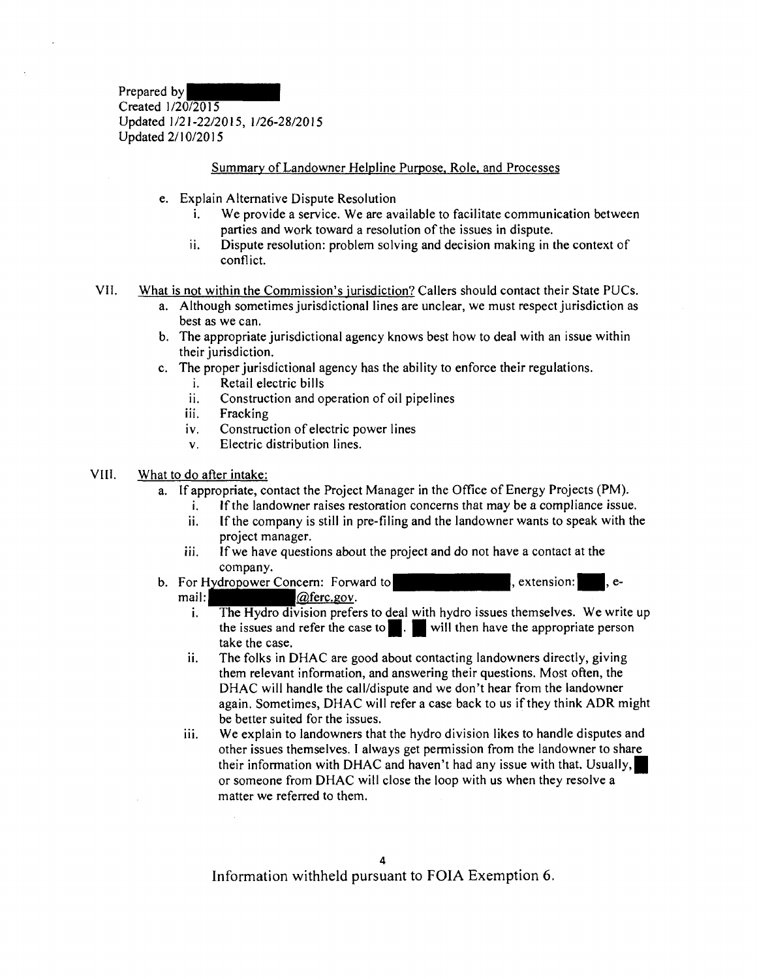Prepared by Created 1/20/2015 Updated 1/21-22/2015, l/26-28/2015 Updated 2/10/2015

### Summary of Landowner Helpline Purpose, Role, and Processes

- e. Explain Alternative Dispute Resolution
	- i. We provide a service. We are available to facilitate communication between parties and work toward a resolution of the issues in dispute.
	- ii. Dispute resolution: problem solving and decision making in the context of conflict.
- VII. What is not within the Commission's jurisdiction? Callers should contact their State PUCs.
	- a. Although sometimes jurisdictional lines are unclear, we must respect jurisdiction as best as we can.
	- b. The appropriate jurisdictional agency knows best how to deal with an issue within their jurisdiction.
	- c. The proper jurisdictional agency has the ability to enforce their regulations.
		- i. Retail electric bills
		- ii. Construction and operation of oil pipelines
		- iii. Fracking
		- iv. Construction of electric power lines
		- v. Electric distribution lines.

#### VIII. What to do after intake:

- a. If appropriate, contact the Project Manager in the Office of Energy Projects (PM).
	- i. If the landowner raises restoration concerns that may be a compliance issue.
	- ii. If the company is still in pre-filing and the landowner wants to speak with the project manager.
	- iii. If we have questions about the project and do not have a contact at the company.
- b. For Hydropower Concern: Forward to<br>mail:  $\sqrt{a}$ ferc.gov.  $\vert$ , extension: $\vert$ , e
	- ail:<br>i. The Hydro division prefe The Hydro division prefers to deal with hydro issues themselves. We write up the issues and refer the case to  $\blacksquare$ .  $\blacksquare$  will then have the appropriate person take the case.
	- ii. The folks in DHAC are good about contacting landowners directly, giving them relevant information, and answering their questions. Most often, the DHAC will handle the call/dispute and we don't hear from the landowner again. Sometimes, DHAC will refer a case back to us if they think ADR might be better suited for the issues.
	- iii. We explain to landowners that the hydro division likes to handle disputes and other issues themselves. I always get permission from the landowner to share their information with DHAC and haven't had any issue with that. Usually, I or someone from DHAC will close the loop with us when they resolve a matter we referred to them.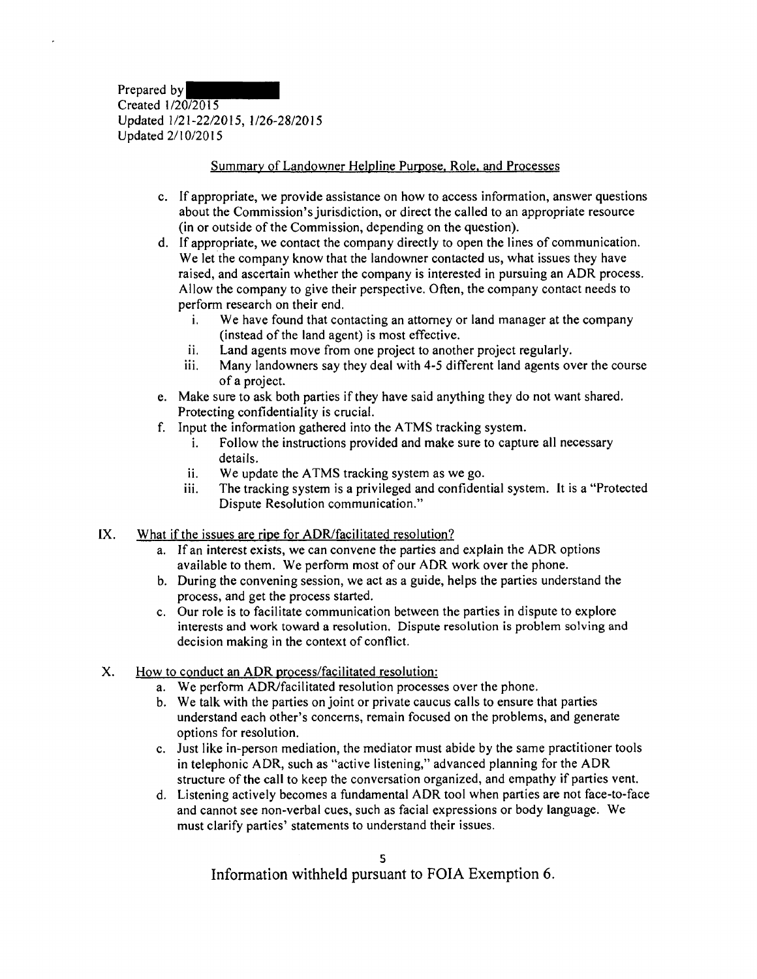Prepared by Created 1/20/2015 Updated 1/21-22/2015, 1/26-28/2015 Updated 2/l 0/20 I 5

### Summary of Landowner Helpline Purpose, Role, and Processes

- c. If appropriate, we provide assistance on how to access information, answer questions about the Commission's jurisdiction, or direct the called to an appropriate resource (in or outside of the Commission, depending on the question).
- d. If appropriate, we contact the company directly to open the lines of communication. We let the company know that the landowner contacted us, what issues they have raised, and ascertain whether the company is interested in pursuing an ADR process. Allow the company to give their perspective. Often, the company contact needs to perform research on their end.
	- i. We have found that contacting an attorney or land manager at the company (instead of the land agent) is most effective.
	- ii. Land agents move from one project to another project regularly.
	- iii. Many landowners say they deal with 4-5 different land agents over the course of a project.
- e. Make sure to ask both parties if they have said anything they do not want shared. Protecting confidentiality is crucial.
- f. Input the information gathered into the A TMS tracking system.
	- i. Follow the instructions provided and make sure to capture all necessary details.
	- ii. We update the ATMS tracking system as we go.
	- iii. The tracking system is a privileged and confidential system. It is a "Protected Dispute Resolution communication."
- IX. What if the issues are ripe for ADR/facilitated resolution?
	- a. If an interest exists, we can convene the parties and explain the ADR options available to them. We perform most of our ADR work over the phone.
	- b. During the convening session, we act as a guide, helps the parties understand the process, and get the process started.
	- c. Our role is to facilitate communication between the parties in dispute to explore interests and work toward a resolution. Dispute resolution is problem solving and decision making in the context of conflict.
- X. How to conduct an ADR process/facilitated resolution:
	- a. We perform ADR/facilitated resolution processes over the phone.
	- b. We talk with the parties on joint or private caucus calls to ensure that parties understand each other's concerns, remain focused on the problems, and generate options for resolution.
	- c. Just like in-person mediation, the mediator must abide by the same practitioner tools in telephonic ADR, such as "active listening," advanced planning for the ADR structure of the call to keep the conversation organized, and empathy if parties vent.
	- d. Listening actively becomes a fundamental ADR tool when parties are not face-to-face and cannot see non-verbal cues, such as facial expressions or body language. We must clarify parties' statements to understand their issues.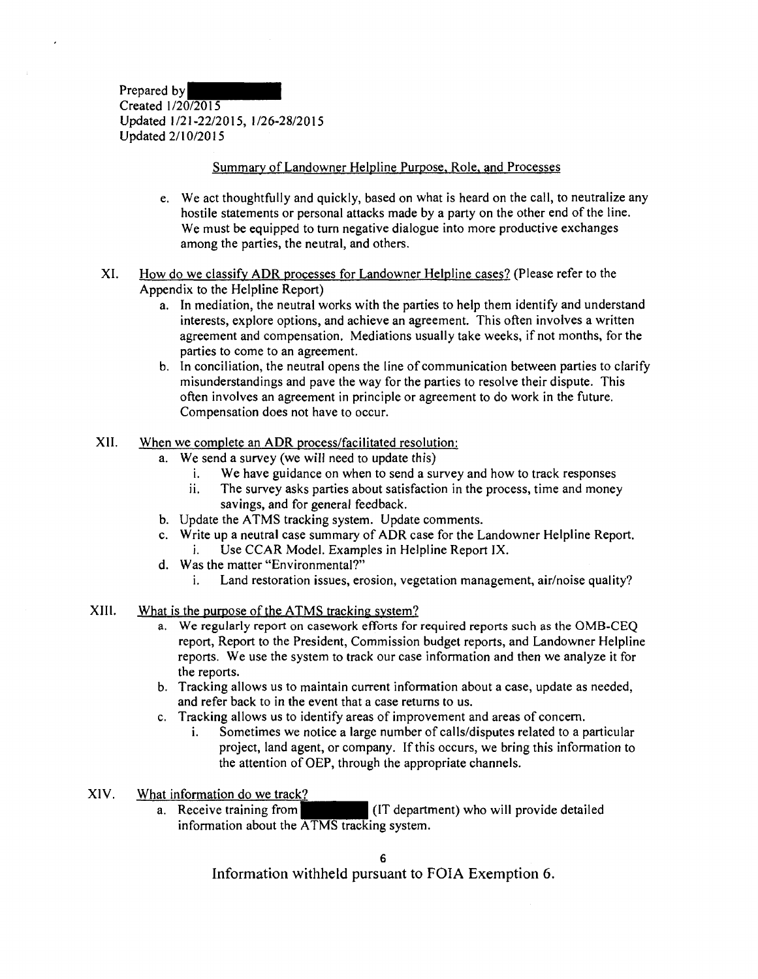Prepared by Created 1/20/2015 Updated 1/21-22/2015, 1/26-28/2015 Updated 2/10/2015

### Summary of Landowner Helpline Purpose. Role, and Processes

- e. We act thoughtfully and quickly, based on what is heard on the call, to neutralize any hostile statements or personal attacks made by a party on the other end of the line. We must be equipped to turn negative dialogue into more productive exchanges among the parties, the neutral, and others.
- XI. How do we classify ADR processes for Landowner Helpline cases? (Please refer to the Appendix to the Helpline Report)
	- a. In mediation, the neutral works with the parties to help them identify and understand interests, explore options, and achieve an agreement. This often involves a written agreement and compensation. Mediations usually take weeks, if not months, for the parties to come to an agreement.
	- b. In conciliation, the neutral opens the line of communication between parties to clarify misunderstandings and pave the way for the parties to resolve their dispute. This often involves an agreement in principle or agreement to do work in the future. Compensation does not have to occur.
- XII. When we complete an ADR process/facilitated resolution:
	- a. We send a survey (we will need to update this)
		- i. We have guidance on when to send a survey and how to track responses
		- ii. The survey asks parties about satisfaction in the process, time and money savings, and for general feedback.
	- b. Update the ATMS tracking system. Update comments.
	- c. Write up a neutral case summary of ADR case for the Landowner Helpline Report. i. Use CCAR Model. Examples in Helpline Report IX.
	- d. Was the matter "Environmental?"
		- i. Land restoration issues, erosion, vegetation management, air/noise quality?
- XIII. What is the purpose of the ATMS tracking system?
	- a. We regularly report on casework efforts for required reports such as the OMB-CEO report, Report to the President, Commission budget reports, and Landowner Helpline reports. We use the system to track our case information and then we analyze it for the reports.
	- b. Tracking allows us to maintain current information about a case, update as needed, and refer back to in the event that a case returns to us.
	- c. Tracking allows us to identify areas of improvement and areas of concern.
		- i. Sometimes we notice a large number of calls/disputes related to a particular project, land agent, or company. If this occurs, we bring this information to the attention of OEP, through the appropriate channels.
- XIV. What information do we track?
	- a. Receive training from (IT department) who will provide detailed information about the ATMS tracking system.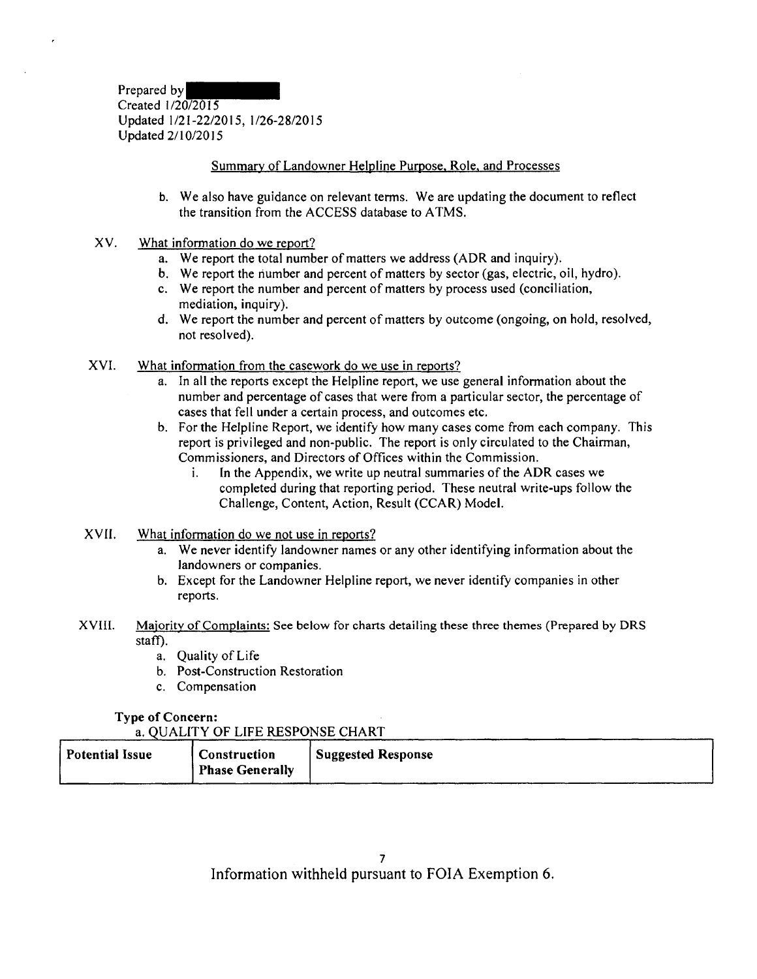Prepared by Created I /20/20 l *5*  Updated 1/21-22/2015, 1/26-28/2015 Updated 2/10/2015

### Summary of Landowner Helpline Pumose, Role, and Processes

- b. We also have guidance on relevant terms. We are updating the document to reflect the transition from the ACCESS database to A TMS.
- XV. What information do we report?
	- a. We report the total number of matters we address (ADR and inquiry).
	- b. We report the riumber and percent of matters by sector (gas, electric, oil, hydro).
	- c. We report the number and percent of matters by process used (conciliation, mediation, inquiry).
	- d. We report the number and percent of matters by outcome (ongoing, on hold, resolved, not resolved).
- XVI. What information from the casework do we use in reports?
	- a. In all the reports except the Helpline report, we use general information about the number and percentage of cases that were from a particular sector, the percentage of cases that fell under a certain process, and outcomes etc.
	- b. For the Helpline Report, we identify how many cases come from each company. This report is privileged and non-public. The report is only circulated to the Chairman, Commissioners, and Directors of Offices within the Commission.
		- 1. In the Appendix, we write up neutral summaries of the ADR cases we completed during that reporting period. These neutral write-ups follow the Challenge, Content, Action, Result (CCAR) Model.
- XVII. What information do we not use in reports?
	- a. We never identify landowner names or any other identifying information about the landowners or companies.
	- b. Except for the Landowner Helpline report, we never identify companies in other reports.
- **XVIII.** Majority of Complaints: See below for charts detailing these three themes (Prepared by DRS staff).
	- a. Quality of Life
	- b. Post-Construction Restoration
	- c. Compensation

### **Type of Concern:**

a. QUALITY OF LIFE RESPONSE CHART

| <b>Potential Issue</b><br><b>Construction</b><br><b>Phase Generally</b> | <sup>1</sup> Suggested Response |
|-------------------------------------------------------------------------|---------------------------------|
|-------------------------------------------------------------------------|---------------------------------|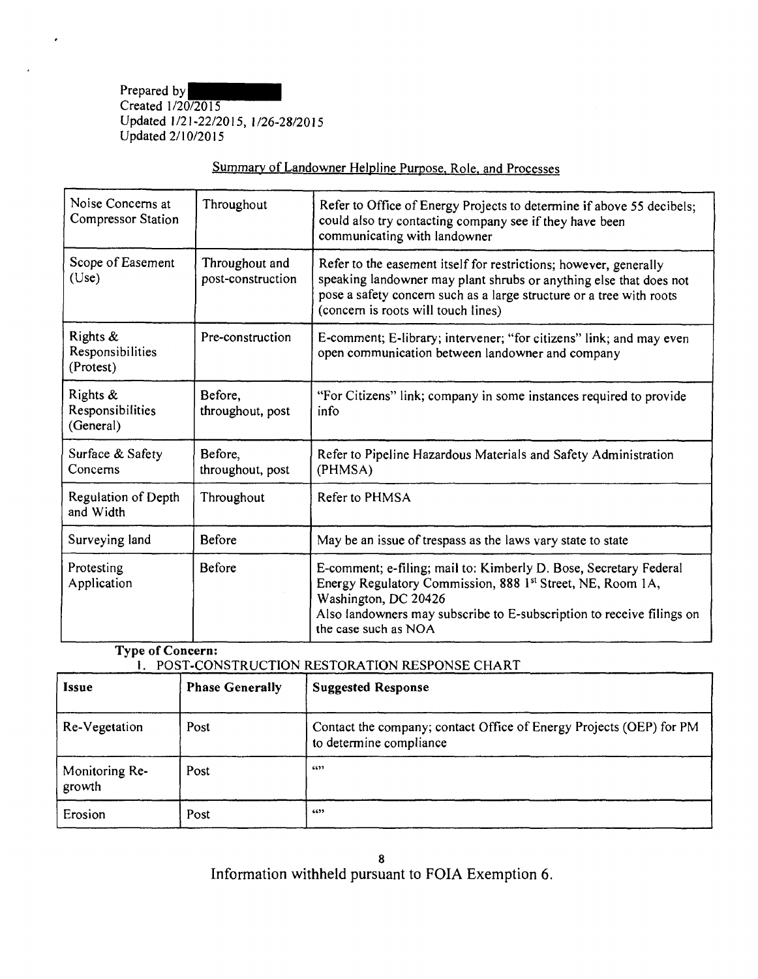Prepared by Created 1/20/2015 Updated 1/21-22/2015, 1/26-28/2015 Updated 2/10/2015

| Noise Concerns at<br>Compressor Station   | Throughout                          | Refer to Office of Energy Projects to determine if above 55 decibels;<br>could also try contacting company see if they have been<br>communicating with landowner                                                                                         |
|-------------------------------------------|-------------------------------------|----------------------------------------------------------------------------------------------------------------------------------------------------------------------------------------------------------------------------------------------------------|
| Scope of Easement<br>(Use)                | Throughout and<br>post-construction | Refer to the easement itself for restrictions; however, generally<br>speaking landowner may plant shrubs or anything else that does not<br>pose a safety concern such as a large structure or a tree with roots<br>(concern is roots will touch lines)   |
| Rights &<br>Responsibilities<br>(Protest) | Pre-construction                    | E-comment; E-library; intervener; "for citizens" link; and may even<br>open communication between landowner and company                                                                                                                                  |
| Rights &<br>Responsibilities<br>(General) | Before,<br>throughout, post         | "For Citizens" link; company in some instances required to provide<br>info                                                                                                                                                                               |
| Surface & Safety<br>Concerns              | Before,<br>throughout, post         | Refer to Pipeline Hazardous Materials and Safety Administration<br>(PHMSA)                                                                                                                                                                               |
| Regulation of Depth<br>and Width          | Throughout                          | Refer to PHMSA                                                                                                                                                                                                                                           |
| Surveying land                            | Before                              | May be an issue of trespass as the laws vary state to state                                                                                                                                                                                              |
| Protesting<br>Application                 | Before                              | E-comment; e-filing; mail to: Kimberly D. Bose, Secretary Federal<br>Energy Regulatory Commission, 888 1st Street, NE, Room 1A,<br>Washington, DC 20426<br>Also landowners may subscribe to E-subscription to receive filings on<br>the case such as NOA |

# Summary of Landowner Helpline Purpose, Role, and Processes

**Type of Concern:** 

### 1. POST-CONSTRUCTION RESTORATION RESPONSE CHART

| <b>Issue</b>             | <b>Phase Generally</b> | <b>Suggested Response</b>                                                                      |
|--------------------------|------------------------|------------------------------------------------------------------------------------------------|
| Re-Vegetation            | Post                   | Contact the company; contact Office of Energy Projects (OEP) for PM<br>to determine compliance |
| Monitoring Re-<br>growth | Post                   | 6699                                                                                           |
| Erosion                  | Post                   | 6655                                                                                           |

8